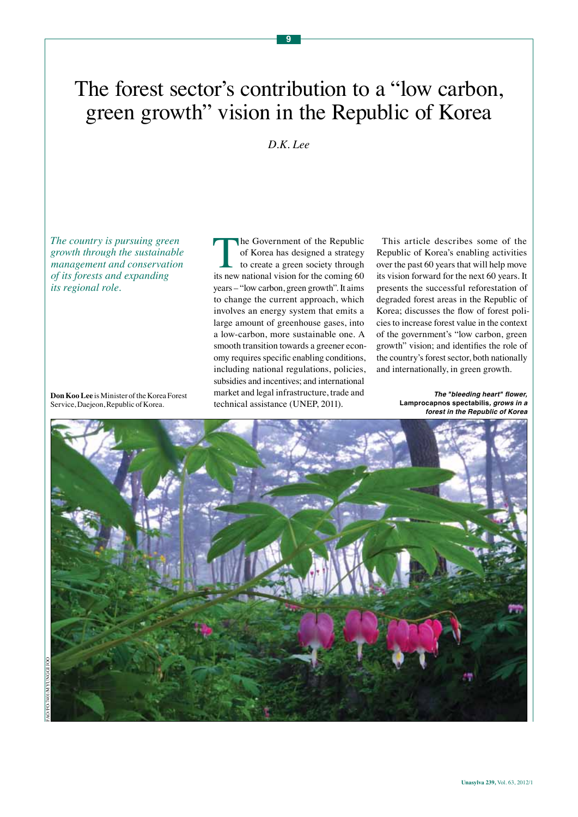# The forest sector's contribution to a "low carbon, green growth" vision in the Republic of Korea

**9**

### *D.K. Lee*

*The country is pursuing green growth through the sustainable management and conservation of its forests and expanding its regional role.*

The Government of the Republic of Korea has designed a strategy to create a green society through its new national vision for the coming 60 years – "low carbon, green growth". It aims to change the current approach, which involves an energy system that emits a large amount of greenhouse gases, into a low-carbon, more sustainable one. A smooth transition towards a greener economy requires specific enabling conditions, including national regulations, policies, subsidies and incentives; and international market and legal infrastructure, trade and technical assistance (UNEP, 2011).

This article describes some of the Republic of Korea's enabling activities over the past 60 years that will help move its vision forward for the next 60 years. It presents the successful reforestation of degraded forest areas in the Republic of Korea; discusses the flow of forest policies to increase forest value in the context of the government's "low carbon, green growth" vision; and identifies the role of the country's forest sector, both nationally and internationally, in green growth.

> **The "bleeding heart" flower, Lamprocapnos spectabilis, grows in a forest in the Republic of Korea**



**Don Koo Lee** is Minister of the Korea Forest Service, Daejeon, Republic of Korea.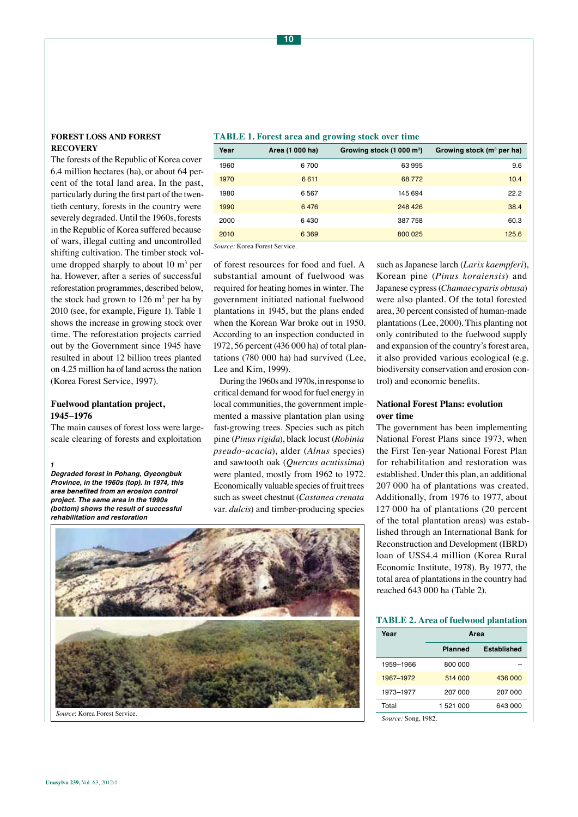### **Forest loss and forest recovery**

The forests of the Republic of Korea cover 6.4 million hectares (ha), or about 64 percent of the total land area. In the past, particularly during the first part of the twentieth century, forests in the country were severely degraded. Until the 1960s, forests in the Republic of Korea suffered because of wars, illegal cutting and uncontrolled shifting cultivation. The timber stock volume dropped sharply to about  $10 \text{ m}^3$  per ha. However, after a series of successful reforestation programmes, described below, the stock had grown to  $126 \text{ m}^3$  per ha by 2010 (see, for example, Figure 1). Table 1 shows the increase in growing stock over time. The reforestation projects carried out by the Government since 1945 have resulted in about 12 billion trees planted on 4.25 million ha of land across the nation (Korea Forest Service, 1997).

### **Fuelwood plantation project, 1945–1976**

The main causes of forest loss were largescale clearing of forests and exploitation

*1* **Degraded forest in Pohang, Gyeongbuk Province, in the 1960s (top). In 1974, this area benefited from an erosion control project. The same area in the 1990s (bottom) shows the result of successful rehabilitation and restoration**

| <b>TABLE 1. Forest area and growing stock over time</b> |  |  |
|---------------------------------------------------------|--|--|
|---------------------------------------------------------|--|--|

| Year | Area (1 000 ha) | Growing stock (1 000 m <sup>3</sup> ) | Growing stock $(m^3$ per ha) |
|------|-----------------|---------------------------------------|------------------------------|
| 1960 | 6700            | 63995                                 | 9.6                          |
| 1970 | 6 6 1 1         | 68 7 72                               | 10.4                         |
| 1980 | 6 5 6 7         | 145 694                               | 22.2                         |
| 1990 | 6476            | 248 426                               | 38.4                         |
| 2000 | 6430            | 387758                                | 60.3                         |
| 2010 | 6369            | 800 025                               | 125.6                        |

*Source:* Korea Forest Service.

of forest resources for food and fuel. A substantial amount of fuelwood was required for heating homes in winter. The government initiated national fuelwood plantations in 1945, but the plans ended when the Korean War broke out in 1950. According to an inspection conducted in 1972, 56 percent (436 000 ha) of total plantations (780 000 ha) had survived (Lee, Lee and Kim, 1999).

During the 1960s and 1970s, in response to critical demand for wood for fuel energy in local communities, the government implemented a massive plantation plan using fast-growing trees. Species such as pitch pine (*Pinus rigida*), black locust (*Robinia pseudo-acacia*), alder (*Alnus* species) and sawtooth oak (*Quercus acutissima*) were planted, mostly from 1962 to 1972. Economically valuable species of fruit trees such as sweet chestnut (*Castanea crenata*  var. *dulcis*) and timber-producing species

such as Japanese larch (*Larix kaempferi*), Korean pine (*Pinus koraiensis*) and Japanese cypress (*Chamaecyparis obtusa*) were also planted. Of the total forested area, 30 percent consisted of human-made plantations (Lee, 2000). This planting not only contributed to the fuelwood supply and expansion of the country's forest area, it also provided various ecological (e.g. biodiversity conservation and erosion control) and economic benefits.

### **National Forest Plans: evolution over time**

The government has been implementing National Forest Plans since 1973, when the First Ten-year National Forest Plan for rehabilitation and restoration was established. Under this plan, an additional 207 000 ha of plantations was created. Additionally, from 1976 to 1977, about 127 000 ha of plantations (20 percent of the total plantation areas) was established through an International Bank for Reconstruction and Development (IBRD) loan of US\$4.4 million (Korea Rural Economic Institute, 1978). By 1977, the total area of plantations in the country had reached 643 000 ha (Table 2).

### **TABLE 2. Area of fuelwood plantation**

| Area           |             |  |
|----------------|-------------|--|
| <b>Planned</b> | Established |  |
| 800 000        |             |  |
| 514 000        | 436 000     |  |
| 207 000        | 207 000     |  |
| 1 521 000      | 643 000     |  |
|                |             |  |

*Source:* Song, 1982.

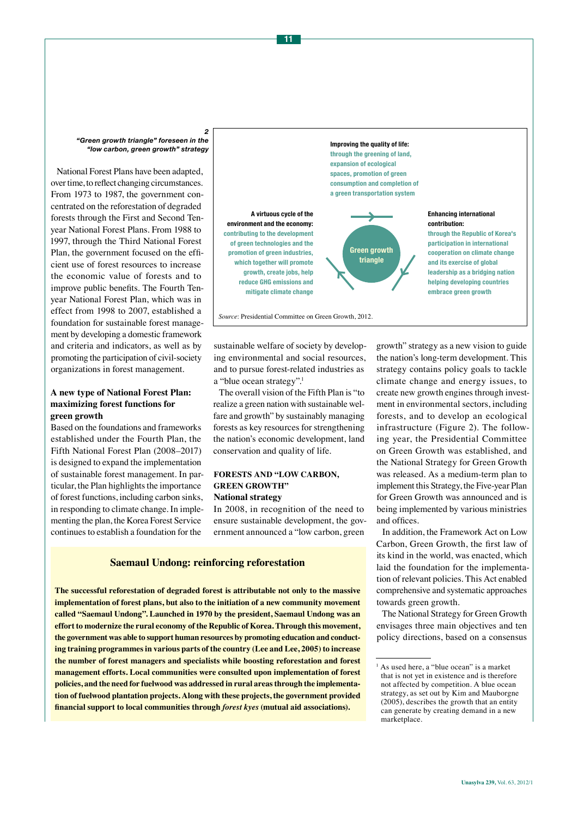*2 "Green growth triangle" foreseen in the "low carbon, green growth" strategy* 

National Forest Plans have been adapted, over time, to reflect changing circumstances. From 1973 to 1987, the government concentrated on the reforestation of degraded forests through the First and Second Tenyear National Forest Plans. From 1988 to 1997, through the Third National Forest Plan, the government focused on the efficient use of forest resources to increase the economic value of forests and to improve public benefits. The Fourth Tenyear National Forest Plan, which was in effect from 1998 to 2007, established a foundation for sustainable forest management by developing a domestic framework and criteria and indicators, as well as by promoting the participation of civil-society organizations in forest management.

### **A new type of National Forest Plan: maximizing forest functions for green growth**

Based on the foundations and frameworks established under the Fourth Plan, the Fifth National Forest Plan (2008–2017) is designed to expand the implementation of sustainable forest management. In particular, the Plan highlights the importance of forest functions, including carbon sinks, in responding to climate change. In implementing the plan, the Korea Forest Service continues to establish a foundation for the



sustainable welfare of society by developing environmental and social resources, and to pursue forest-related industries as a "blue ocean strategy".1

The overall vision of the Fifth Plan is "to realize a green nation with sustainable welfare and growth" by sustainably managing forests as key resources for strengthening the nation's economic development, land conservation and quality of life.

### **Forests and "low carbon, green growth" National strategy**

In 2008, in recognition of the need to ensure sustainable development, the government announced a "low carbon, green

### **Saemaul Undong: reinforcing reforestation**

**The successful reforestation of degraded forest is attributable not only to the massive implementation of forest plans, but also to the initiation of a new community movement called "Saemaul Undong". Launched in 1970 by the president, Saemaul Undong was an effort to modernize the rural economy of the Republic of Korea. Through this movement, the government was able to support human resources by promoting education and conducting training programmes in various parts of the country (Lee and Lee, 2005) to increase the number of forest managers and specialists while boosting reforestation and forest management efforts. Local communities were consulted upon implementation of forest policies, and the need for fuelwood was addressed in rural areas through the implementation of fuelwood plantation projects. Along with these projects, the government provided financial support to local communities through** *forest kyes* **(mutual aid associations).**

growth" strategy as a new vision to guide the nation's long-term development. This strategy contains policy goals to tackle climate change and energy issues, to create new growth engines through investment in environmental sectors, including forests, and to develop an ecological infrastructure (Figure 2). The following year, the Presidential Committee on Green Growth was established, and the National Strategy for Green Growth was released. As a medium-term plan to implement this Strategy, the Five-year Plan for Green Growth was announced and is being implemented by various ministries and offices.

In addition, the Framework Act on Low Carbon, Green Growth, the first law of its kind in the world, was enacted, which laid the foundation for the implementation of relevant policies. This Act enabled comprehensive and systematic approaches towards green growth.

The National Strategy for Green Growth envisages three main objectives and ten policy directions, based on a consensus

<sup>&</sup>lt;sup>1</sup> As used here, a "blue ocean" is a market that is not yet in existence and is therefore not affected by competition. A blue ocean strategy, as set out by Kim and Mauborgne (2005), describes the growth that an entity can generate by creating demand in a new marketplace.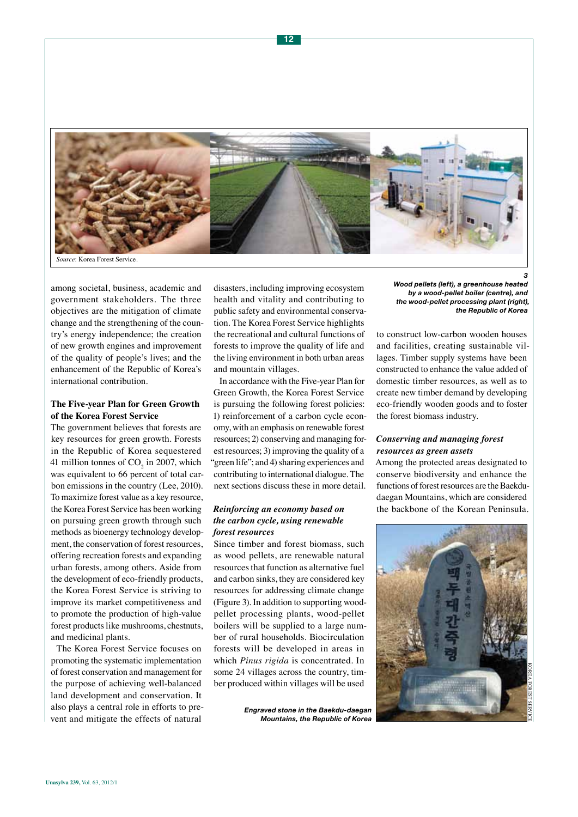

among societal, business, academic and government stakeholders. The three objectives are the mitigation of climate change and the strengthening of the country's energy independence; the creation of new growth engines and improvement of the quality of people's lives; and the enhancement of the Republic of Korea's international contribution.

### **The Five-year Plan for Green Growth of the Korea Forest Service**

The government believes that forests are key resources for green growth. Forests in the Republic of Korea sequestered 41 million tonnes of  $CO<sub>2</sub>$  in 2007, which was equivalent to 66 percent of total carbon emissions in the country (Lee, 2010). To maximize forest value as a key resource, the Korea Forest Service has been working on pursuing green growth through such methods as bioenergy technology development, the conservation of forest resources, offering recreation forests and expanding urban forests, among others. Aside from the development of eco-friendly products, the Korea Forest Service is striving to improve its market competitiveness and to promote the production of high-value forest products like mushrooms, chestnuts, and medicinal plants.

The Korea Forest Service focuses on promoting the systematic implementation of forest conservation and management for the purpose of achieving well-balanced land development and conservation. It also plays a central role in efforts to prevent and mitigate the effects of natural

disasters, including improving ecosystem health and vitality and contributing to public safety and environmental conservation. The Korea Forest Service highlights the recreational and cultural functions of forests to improve the quality of life and the living environment in both urban areas and mountain villages.

In accordance with the Five-year Plan for Green Growth, the Korea Forest Service is pursuing the following forest policies: 1) reinforcement of a carbon cycle economy, with an emphasis on renewable forest resources; 2) conserving and managing forest resources; 3) improving the quality of a "green life"; and 4) sharing experiences and contributing to international dialogue. The next sections discuss these in more detail.

### *Reinforcing an economy based on the carbon cycle, using renewable forest resources*

Since timber and forest biomass, such as wood pellets, are renewable natural resources that function as alternative fuel and carbon sinks, they are considered key resources for addressing climate change (Figure 3). In addition to supporting woodpellet processing plants, wood-pellet boilers will be supplied to a large number of rural households. Biocirculation forests will be developed in areas in which *Pinus rigida* is concentrated. In some 24 villages across the country, timber produced within villages will be used

> *Engraved stone in the Baekdu-daegan Mountains, the Republic of Korea*

*3 Wood pellets (left), a greenhouse heated by a wood-pellet boiler (centre), and the wood-pellet processing plant (right), the Republic of Korea*

to construct low-carbon wooden houses and facilities, creating sustainable villages. Timber supply systems have been constructed to enhance the value added of domestic timber resources, as well as to create new timber demand by developing eco-friendly wooden goods and to foster the forest biomass industry.

### *Conserving and managing forest resources as green assets*

Among the protected areas designated to conserve biodiversity and enhance the functions of forest resources are the Baekdudaegan Mountains, which are considered the backbone of the Korean Peninsula.

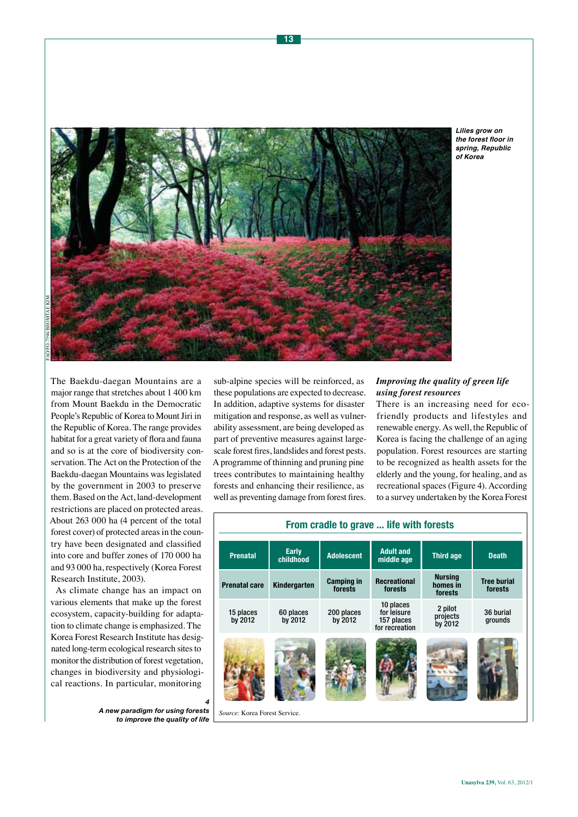habitat for a great variety of flora and fauna and so is at the core of biodiversity conservation. The Act on the Protection of the Baekdu-daegan Mountains was legislated by the government in 2003 to preserve them. Based on the Act, land-development restrictions are placed on protected areas. About 263 000 ha (4 percent of the total forest cover) of protected areas in the country have been designated and classified into core and buffer zones of 170 000 ha and 93 000 ha, respectively (Korea Forest Research Institute, 2003).

As climate change has an impact on various elements that make up the forest ecosystem, capacity-building for adaptation to climate change is emphasized. The Korea Forest Research Institute has designated long-term ecological research sites to monitor the distribution of forest vegetation, changes in biodiversity and physiological reactions. In particular, monitoring

> *A new paradigm for using forests to improve the quality of life*

part of preventive measures against largescale forest fires, landslides and forest pests. A programme of thinning and pruning pine trees contributes to maintaining healthy forests and enhancing their resilience, as well as preventing damage from forest fires.

### *Improving the quality of green life using forest resources*

There is an increasing need for ecofriendly products and lifestyles and renewable energy. As well, the Republic of Korea is facing the challenge of an aging population. Forest resources are starting to be recognized as health assets for the elderly and the young, for healing, and as recreational spaces (Figure 4). According to a survey undertaken by the Korea Forest

## The Baekdu-daegan Mountains are a major range that stretches about 1 400 km from Mount Baekdu in the Democratic People's Republic of Korea to Mount Jiri in the Republic of Korea. The range provides sub-alpine species will be reinforced, as these populations are expected to decrease. In addition, adaptive systems for disaster mitigation and response, as well as vulnerability assessment, are being developed as FAO/FO-7394/Beomtae Kim

**Lilies grow on the forest floor in spring, Republic of Korea**



**From cradle to grave ... life with forests**



*4*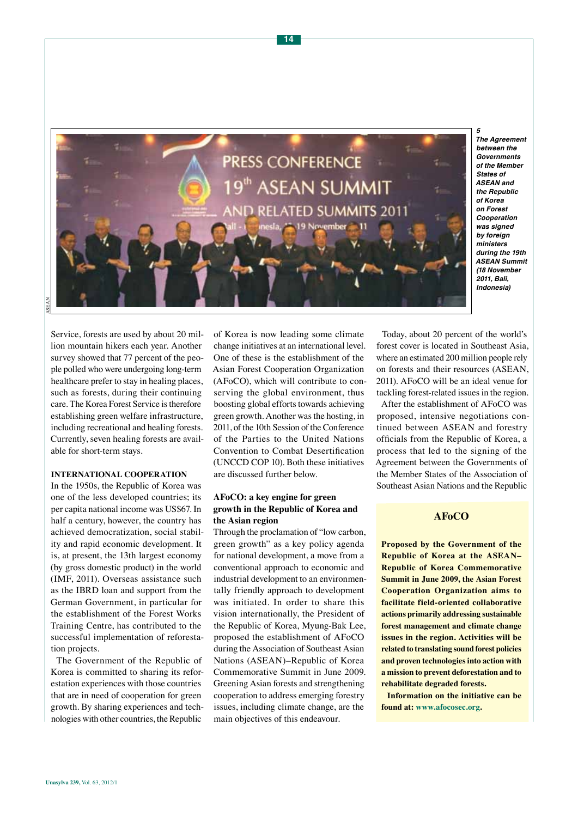

**The Agreement between the Governments of the Member States of ASEAN and the Republic of Korea**  *on Forest*  **Cooperation was signed by foreign ministers during the 19th ASEAN Summit**  *(18 November*  **2011, Bali, Indonesia)**

Service, forests are used by about 20 million mountain hikers each year. Another survey showed that 77 percent of the people polled who were undergoing long-term healthcare prefer to stay in healing places, such as forests, during their continuing care. The Korea Forest Service is therefore establishing green welfare infrastructure, including recreational and healing forests. Currently, seven healing forests are available for short-term stays.

### **International cooperation**

In the 1950s, the Republic of Korea was one of the less developed countries; its per capita national income was US\$67. In half a century, however, the country has achieved democratization, social stability and rapid economic development. It is, at present, the 13th largest economy (by gross domestic product) in the world (IMF, 2011). Overseas assistance such as the IBRD loan and support from the German Government, in particular for the establishment of the Forest Works Training Centre, has contributed to the successful implementation of reforestation projects.

The Government of the Republic of Korea is committed to sharing its reforestation experiences with those countries that are in need of cooperation for green growth. By sharing experiences and technologies with other countries, the Republic

of Korea is now leading some climate change initiatives at an international level. One of these is the establishment of the Asian Forest Cooperation Organization (AFoCO), which will contribute to conserving the global environment, thus boosting global efforts towards achieving green growth. Another was the hosting, in 2011, of the 10th Session of the Conference of the Parties to the United Nations Convention to Combat Desertification (UNCCD COP 10). Both these initiatives are discussed further below.

### **AFoCO: a key engine for green growth in the Republic of Korea and the Asian region**

Through the proclamation of "low carbon, green growth" as a key policy agenda for national development, a move from a conventional approach to economic and industrial development to an environmentally friendly approach to development was initiated. In order to share this vision internationally, the President of the Republic of Korea, Myung-Bak Lee, proposed the establishment of AFoCO during the Association of Southeast Asian Nations (ASEAN)–Republic of Korea Commemorative Summit in June 2009. Greening Asian forests and strengthening cooperation to address emerging forestry issues, including climate change, are the main objectives of this endeavour.

Today, about 20 percent of the world's forest cover is located in Southeast Asia, where an estimated 200 million people rely on forests and their resources (ASEAN, 2011). AFoCO will be an ideal venue for tackling forest-related issues in the region.

After the establishment of AFoCO was proposed, intensive negotiations continued between ASEAN and forestry officials from the Republic of Korea, a process that led to the signing of the Agreement between the Governments of the Member States of the Association of Southeast Asian Nations and the Republic

### **AFoCO**

**Proposed by the Government of the Republic of Korea at the ASEAN– Republic of Korea Commemorative Summit in June 2009, the Asian Forest Cooperation Organization aims to facilitate field-oriented collaborative actions primarily addressing sustainable forest management and climate change issues in the region. Activities will be related to translating sound forest policies and proven technologies into action with a mission to prevent deforestation and to rehabilitate degraded forests.**

**Information on the initiative can be found at: [www.afocosec.org](http://www.afocosec.org).**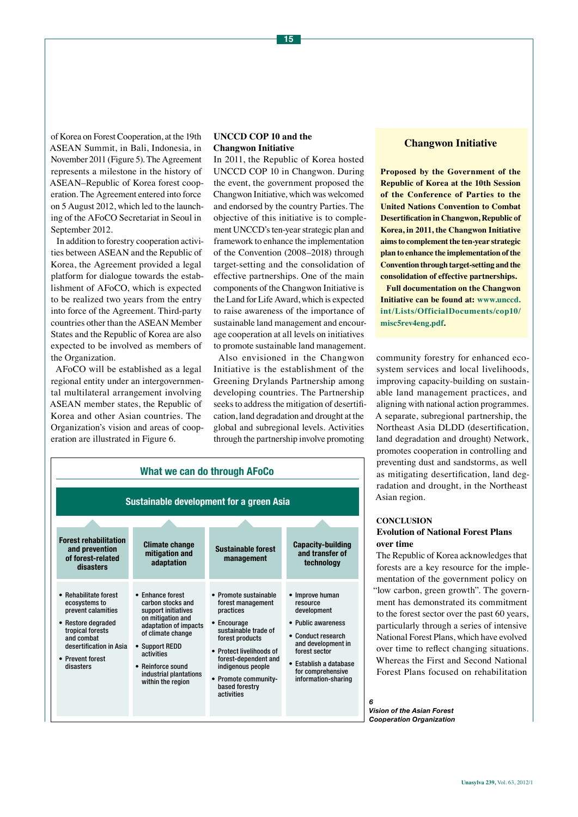of Korea on Forest Cooperation, at the 19th ASEAN Summit, in Bali, Indonesia, in November 2011 (Figure 5). The Agreement represents a milestone in the history of ASEAN–Republic of Korea forest cooperation. The Agreement entered into force on 5 August 2012, which led to the launching of the AFoCO Secretariat in Seoul in September 2012.

In addition to forestry cooperation activities between ASEAN and the Republic of Korea, the Agreement provided a legal platform for dialogue towards the establishment of AFoCO, which is expected to be realized two years from the entry into force of the Agreement. Third-party countries other than the ASEAN Member States and the Republic of Korea are also expected to be involved as members of the Organization.

AFoCO will be established as a legal regional entity under an intergovernmental multilateral arrangement involving ASEAN member states, the Republic of Korea and other Asian countries. The Organization's vision and areas of cooperation are illustrated in Figure 6.

### **UNCCD COP 10 and the Changwon Initiative**

In 2011, the Republic of Korea hosted UNCCD COP 10 in Changwon. During the event, the government proposed the Changwon Initiative, which was welcomed and endorsed by the country Parties. The objective of this initiative is to complement UNCCD's ten-year strategic plan and framework to enhance the implementation of the Convention (2008–2018) through target-setting and the consolidation of effective partnerships. One of the main components of the Changwon Initiative is the Land for Life Award, which is expected to raise awareness of the importance of sustainable land management and encourage cooperation at all levels on initiatives to promote sustainable land management.

Also envisioned in the Changwon Initiative is the establishment of the Greening Drylands Partnership among developing countries. The Partnership seeks to address the mitigation of desertification, land degradation and drought at the global and subregional levels. Activities through the partnership involve promoting

| <b>What we can do through AFoCo</b>                                                                                                                                              |                                                                                                                                                                                                                                     |                                                                                                                                                                                                                                                    |                                                                                                                                                                                                     |  |  |  |  |
|----------------------------------------------------------------------------------------------------------------------------------------------------------------------------------|-------------------------------------------------------------------------------------------------------------------------------------------------------------------------------------------------------------------------------------|----------------------------------------------------------------------------------------------------------------------------------------------------------------------------------------------------------------------------------------------------|-----------------------------------------------------------------------------------------------------------------------------------------------------------------------------------------------------|--|--|--|--|
| <b>Sustainable development for a green Asia</b>                                                                                                                                  |                                                                                                                                                                                                                                     |                                                                                                                                                                                                                                                    |                                                                                                                                                                                                     |  |  |  |  |
|                                                                                                                                                                                  |                                                                                                                                                                                                                                     |                                                                                                                                                                                                                                                    |                                                                                                                                                                                                     |  |  |  |  |
| <b>Forest rehabilitation</b><br>and prevention<br>of forest-related<br>disasters                                                                                                 | <b>Climate change</b><br>mitigation and<br>adaptation                                                                                                                                                                               | <b>Sustainable forest</b><br>management                                                                                                                                                                                                            | <b>Capacity-building</b><br>and transfer of<br>technology                                                                                                                                           |  |  |  |  |
| • Rehabilitate forest<br>ecosystems to<br>prevent calamities<br>• Restore degraded<br>tropical forests<br>and combat<br>desertification in Asia<br>• Prevent forest<br>disasters | • Enhance forest<br>carbon stocks and<br>support initiatives<br>on mitigation and<br>adaptation of impacts<br>of climate change<br>• Support REDD<br>activities<br>• Reinforce sound<br>industrial plantations<br>within the region | • Promote sustainable<br>forest management<br>practices<br>• Encourage<br>sustainable trade of<br>forest products<br>• Protect livelihoods of<br>forest-dependent and<br>indigenous people<br>• Promote community-<br>based forestry<br>activities | • Improve human<br>resource<br>development<br>• Public awareness<br>• Conduct research<br>and development in<br>forest sector<br>• Establish a database<br>for comprehensive<br>information-sharing |  |  |  |  |

### **Changwon Initiative**

**Proposed by the Government of the Republic of Korea at the 10th Session of the Conference of Parties to the United Nations Convention to Combat Desertification in Changwon, Republic of Korea, in 2011, the Changwon Initiative aims to complement the ten-year strategic plan to enhance the implementation of the Convention through target-setting and the consolidation of effective partnerships.** 

**Full documentation on the Changwon Initiative can be found at: [www.unccd.](http://www.unccd.int/ Lists/OfficialDocuments/cop10/misc5rev4eng.pdf) [int/Lists/OfficialDocuments/cop10/](http://www.unccd.int/ Lists/OfficialDocuments/cop10/misc5rev4eng.pdf) [misc5rev4eng.pdf.](http://www.unccd.int/ Lists/OfficialDocuments/cop10/misc5rev4eng.pdf)**

community forestry for enhanced ecosystem services and local livelihoods, improving capacity-building on sustainable land management practices, and aligning with national action programmes. A separate, subregional partnership, the Northeast Asia DLDD (desertification, land degradation and drought) Network, promotes cooperation in controlling and preventing dust and sandstorms, as well as mitigating desertification, land degradation and drought, in the Northeast Asian region.

### **Conclusion**

### **Evolution of National Forest Plans over time**

The Republic of Korea acknowledges that forests are a key resource for the implementation of the government policy on "low carbon, green growth". The government has demonstrated its commitment to the forest sector over the past 60 years, particularly through a series of intensive National Forest Plans, which have evolved over time to reflect changing situations. Whereas the First and Second National Forest Plans focused on rehabilitation

*6 Vision of the Asian Forest Cooperation Organization*